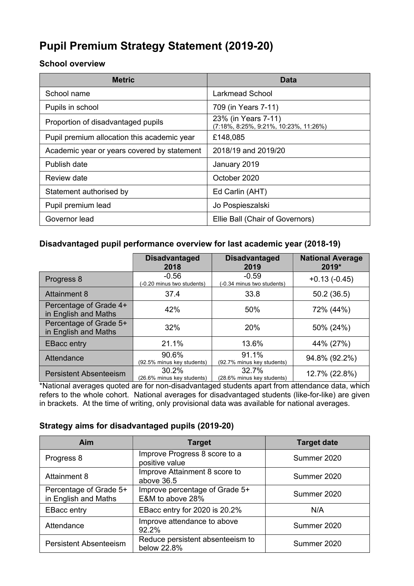# **Pupil Premium Strategy Statement (2019-20)**

#### **School overview**

| <b>Metric</b>                               | <b>Data</b>                                                  |
|---------------------------------------------|--------------------------------------------------------------|
| School name                                 | Larkmead School                                              |
| Pupils in school                            | 709 (in Years 7-11)                                          |
| Proportion of disadvantaged pupils          | 23% (in Years 7-11)<br>(7:18%, 8:25%, 9:21%, 10:23%, 11:26%) |
| Pupil premium allocation this academic year | £148,085                                                     |
| Academic year or years covered by statement | 2018/19 and 2019/20                                          |
| Publish date                                | January 2019                                                 |
| Review date                                 | October 2020                                                 |
| Statement authorised by                     | Ed Carlin (AHT)                                              |
| Pupil premium lead                          | Jo Pospieszalski                                             |
| Governor lead                               | Ellie Ball (Chair of Governors)                              |

### **Disadvantaged pupil performance overview for last academic year (2018-19)**

|                                                | <b>Disadvantaged</b><br>2018          | <b>Disadvantaged</b><br>2019          | <b>National Average</b><br>2019* |
|------------------------------------------------|---------------------------------------|---------------------------------------|----------------------------------|
| Progress 8                                     | $-0.56$<br>(-0.20 minus two students) | $-0.59$<br>(-0.34 minus two students) | $+0.13(-0.45)$                   |
| <b>Attainment 8</b>                            | 37.4                                  | 33.8                                  | 50.2(36.5)                       |
| Percentage of Grade 4+<br>in English and Maths | 42%                                   | 50%                                   | 72% (44%)                        |
| Percentage of Grade 5+<br>in English and Maths | 32%                                   | <b>20%</b>                            | 50% (24%)                        |
| <b>EBacc entry</b>                             | 21.1%                                 | 13.6%                                 | 44% (27%)                        |
| Attendance                                     | 90.6%<br>(92.5% minus key students)   | 91.1%<br>(92.7% minus key students)   | 94.8% (92.2%)                    |
| <b>Persistent Absenteeism</b>                  | 30.2%<br>(26.6% minus key students)   | 32.7%<br>(28.6% minus key students)   | 12.7% (22.8%)                    |

\*National averages quoted are for non-disadvantaged students apart from attendance data, which refers to the whole cohort. National averages for disadvantaged students (like-for-like) are given in brackets. At the time of writing, only provisional data was available for national averages.

#### **Strategy aims for disadvantaged pupils (2019-20)**

| <b>Aim</b>                                     | <b>Target</b>                                      | <b>Target date</b> |
|------------------------------------------------|----------------------------------------------------|--------------------|
| Progress 8                                     | Improve Progress 8 score to a<br>positive value    | Summer 2020        |
| <b>Attainment 8</b>                            | Improve Attainment 8 score to<br>above 36.5        | Summer 2020        |
| Percentage of Grade 5+<br>in English and Maths | Improve percentage of Grade 5+<br>E&M to above 28% | Summer 2020        |
| <b>EBacc entry</b>                             | EBacc entry for 2020 is 20.2%                      | N/A                |
| Attendance                                     | Improve attendance to above<br>92.2%               | Summer 2020        |
| <b>Persistent Absenteeism</b>                  | Reduce persistent absenteeism to<br>below 22.8%    | Summer 2020        |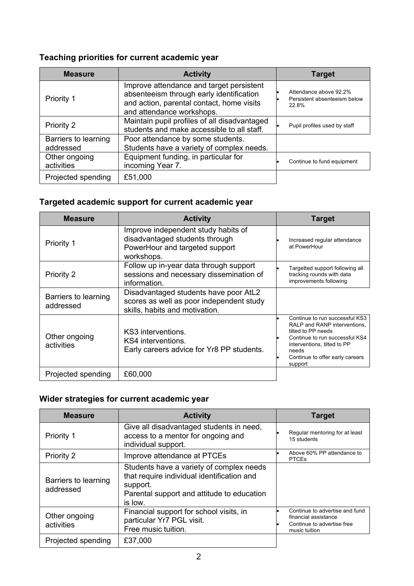## **Teaching priorities for current academic year**

| <b>Measure</b>                    | <b>Activity</b>                                                                                                                                                | <b>Target</b>                                                   |
|-----------------------------------|----------------------------------------------------------------------------------------------------------------------------------------------------------------|-----------------------------------------------------------------|
| Priority 1                        | Improve attendance and target persistent<br>absenteeism through early identification<br>and action, parental contact, home visits<br>and attendance workshops. | Attendance above 92.2%<br>Persistent absenteeism below<br>22.8% |
| Priority 2                        | Maintain pupil profiles of all disadvantaged<br>students and make accessible to all staff.                                                                     | Pupil profiles used by staff                                    |
| Barriers to learning<br>addressed | Poor attendance by some students.<br>Students have a variety of complex needs.                                                                                 |                                                                 |
| Other ongoing<br>activities       | Equipment funding, in particular for<br>incoming Year 7.                                                                                                       | Continue to fund equipment                                      |
| Projected spending                | £51,000                                                                                                                                                        |                                                                 |

## **Targeted academic support for current academic year**

| <b>Measure</b>                    | <b>Activity</b>                                                                                                       | <b>Target</b>                                                                                                                                                                                                |
|-----------------------------------|-----------------------------------------------------------------------------------------------------------------------|--------------------------------------------------------------------------------------------------------------------------------------------------------------------------------------------------------------|
| Priority 1                        | Improve independent study habits of<br>disadvantaged students through<br>PowerHour and targeted support<br>workshops. | Increased regular attendance<br>at PowerHour                                                                                                                                                                 |
| Priority 2                        | Follow up in-year data through support<br>sessions and necessary dissemination of<br>information.                     | Targetted support following all<br>tracking rounds with data<br>improvements following                                                                                                                       |
| Barriers to learning<br>addressed | Disadvantaged students have poor AtL2<br>scores as well as poor independent study<br>skills, habits and motivation.   |                                                                                                                                                                                                              |
| Other ongoing<br>activities       | KS3 interventions.<br>KS4 interventions.<br>Early careers advice for Yr8 PP students.                                 | Continue to run successful KS3<br>RALP and RANP interventions,<br>tilted to PP needs<br>Continue to run successful KS4<br>interventions, tilted to PP<br>needs<br>Continue to offer early careers<br>support |
| Projected spending                | £60,000                                                                                                               |                                                                                                                                                                                                              |

## **Wider strategies for current academic year**

| <b>Measure</b>                    | <b>Activity</b>                                                                                                                                             | <b>Target</b>                                                                                         |
|-----------------------------------|-------------------------------------------------------------------------------------------------------------------------------------------------------------|-------------------------------------------------------------------------------------------------------|
| Priority 1                        | Give all disadvantaged students in need,<br>access to a mentor for ongoing and<br>individual support.                                                       | Regular mentoring for at least<br>15 students                                                         |
| Priority 2                        | Improve attendance at PTCEs                                                                                                                                 | Above 60% PP attendance to<br><b>PTCEs</b>                                                            |
| Barriers to learning<br>addressed | Students have a variety of complex needs<br>that require individual identification and<br>support.<br>Parental support and attitude to education<br>is low. |                                                                                                       |
| Other ongoing<br>activities       | Financial support for school visits, in<br>particular Yr7 PGL visit.<br>Free music tuition.                                                                 | Continue to advertise and fund<br>financial assistance<br>Continue to advertise free<br>music tuition |
| Projected spending                | £37,000                                                                                                                                                     |                                                                                                       |